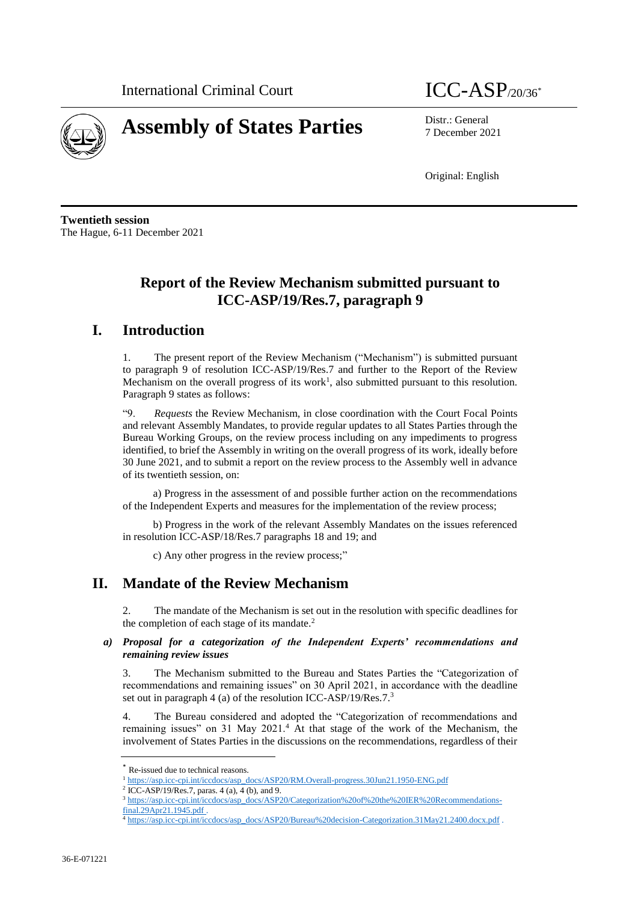

# **Assembly of States Parties** Distr.: General

7 December 2021

Original: English

**Twentieth session** The Hague, 6-11 December 2021

# **Report of the Review Mechanism submitted pursuant to ICC-ASP/19/Res.7, paragraph 9**

## **I. Introduction**

1. The present report of the Review Mechanism ("Mechanism") is submitted pursuant to paragraph 9 of resolution ICC-ASP/19/Res.7 and further to the Report of the Review Mechanism on the overall progress of its work<sup>1</sup>, also submitted pursuant to this resolution. Paragraph 9 states as follows:

"9. *Requests* the Review Mechanism, in close coordination with the Court Focal Points and relevant Assembly Mandates, to provide regular updates to all States Parties through the Bureau Working Groups, on the review process including on any impediments to progress identified, to brief the Assembly in writing on the overall progress of its work, ideally before 30 June 2021, and to submit a report on the review process to the Assembly well in advance of its twentieth session, on:

a) Progress in the assessment of and possible further action on the recommendations of the Independent Experts and measures for the implementation of the review process;

b) Progress in the work of the relevant Assembly Mandates on the issues referenced in resolution ICC-ASP/18/Res.7 paragraphs 18 and 19; and

c) Any other progress in the review process;"

## **II. Mandate of the Review Mechanism**

2. The mandate of the Mechanism is set out in the resolution with specific deadlines for the completion of each stage of its mandate.<sup>2</sup>

#### *a) Proposal for a categorization of the Independent Experts' recommendations and remaining review issues*

3. The Mechanism submitted to the Bureau and States Parties the "Categorization of recommendations and remaining issues" on 30 April 2021, in accordance with the deadline set out in paragraph 4 (a) of the resolution ICC-ASP/19/Res.7.<sup>3</sup>

4. The Bureau considered and adopted the "Categorization of recommendations and remaining issues" on 31 May 2021.<sup>4</sup> At that stage of the work of the Mechanism, the involvement of States Parties in the discussions on the recommendations, regardless of their

Re-issued due to technical reasons.

<sup>&</sup>lt;sup>1</sup> [https://asp.icc-cpi.int/iccdocs/asp\\_docs/ASP20/RM.Overall-progress.30Jun21.1950-ENG.pdf](https://asp.icc-cpi.int/iccdocs/asp_docs/ASP20/RM.Overall-progress.30Jun21.1950-ENG.pdf)

<sup>2</sup> ICC-ASP/19/Res.7, paras. 4 (a), 4 (b), and 9.

<sup>3</sup> [https://asp.icc-cpi.int/iccdocs/asp\\_docs/ASP20/Categorization%20of%20the%20IER%20Recommendations](about:blank)[final.29Apr21.1945.pdf](about:blank) .

<sup>4</sup> [https://asp.icc-cpi.int/iccdocs/asp\\_docs/ASP20/Bureau%20decision-Categorization.31May21.2400.docx.pdf](about:blank) .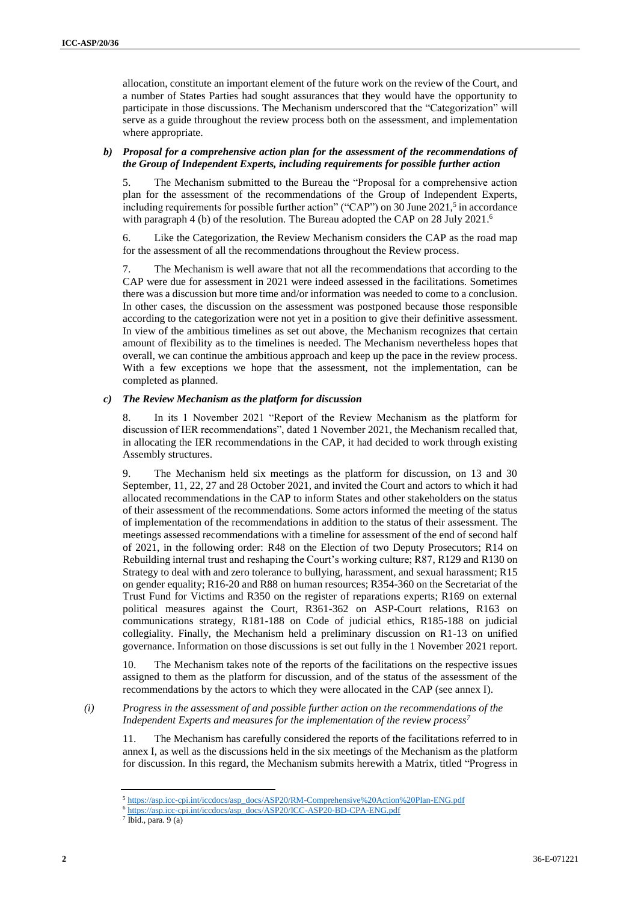allocation, constitute an important element of the future work on the review of the Court, and a number of States Parties had sought assurances that they would have the opportunity to participate in those discussions. The Mechanism underscored that the "Categorization" will serve as a guide throughout the review process both on the assessment, and implementation where appropriate.

#### *b) Proposal for a comprehensive action plan for the assessment of the recommendations of the Group of Independent Experts, including requirements for possible further action*

5. The Mechanism submitted to the Bureau the "Proposal for a comprehensive action plan for the assessment of the recommendations of the Group of Independent Experts, including requirements for possible further action" ("CAP") on 30 June 2021,<sup>5</sup> in accordance with paragraph 4 (b) of the resolution. The Bureau adopted the CAP on 28 July 2021.<sup>6</sup>

6. Like the Categorization, the Review Mechanism considers the CAP as the road map for the assessment of all the recommendations throughout the Review process.

7. The Mechanism is well aware that not all the recommendations that according to the CAP were due for assessment in 2021 were indeed assessed in the facilitations. Sometimes there was a discussion but more time and/or information was needed to come to a conclusion. In other cases, the discussion on the assessment was postponed because those responsible according to the categorization were not yet in a position to give their definitive assessment. In view of the ambitious timelines as set out above, the Mechanism recognizes that certain amount of flexibility as to the timelines is needed. The Mechanism nevertheless hopes that overall, we can continue the ambitious approach and keep up the pace in the review process. With a few exceptions we hope that the assessment, not the implementation, can be completed as planned.

#### *c) The Review Mechanism as the platform for discussion*

8. In its 1 November 2021 "Report of the Review Mechanism as the platform for discussion of IER recommendations", dated 1 November 2021, the Mechanism recalled that, in allocating the IER recommendations in the CAP, it had decided to work through existing Assembly structures.

The Mechanism held six meetings as the platform for discussion, on 13 and 30 September, 11, 22, 27 and 28 October 2021, and invited the Court and actors to which it had allocated recommendations in the CAP to inform States and other stakeholders on the status of their assessment of the recommendations. Some actors informed the meeting of the status of implementation of the recommendations in addition to the status of their assessment. The meetings assessed recommendations with a timeline for assessment of the end of second half of 2021, in the following order: R48 on the Election of two Deputy Prosecutors; R14 on Rebuilding internal trust and reshaping the Court's working culture; R87, R129 and R130 on Strategy to deal with and zero tolerance to bullying, harassment, and sexual harassment; R15 on gender equality; R16-20 and R88 on human resources; R354-360 on the Secretariat of the Trust Fund for Victims and R350 on the register of reparations experts; R169 on external political measures against the Court, R361-362 on ASP-Court relations, R163 on communications strategy, R181-188 on Code of judicial ethics, R185-188 on judicial collegiality. Finally, the Mechanism held a preliminary discussion on R1-13 on unified governance. Information on those discussions is set out fully in the 1 November 2021 report.

10. The Mechanism takes note of the reports of the facilitations on the respective issues assigned to them as the platform for discussion, and of the status of the assessment of the recommendations by the actors to which they were allocated in the CAP (see annex I).

#### *(i) Progress in the assessment of and possible further action on the recommendations of the Independent Experts and measures for the implementation of the review process<sup>7</sup>*

11. The Mechanism has carefully considered the reports of the facilitations referred to in annex I, as well as the discussions held in the six meetings of the Mechanism as the platform for discussion. In this regard, the Mechanism submits herewith a Matrix, titled "Progress in

<sup>5</sup> [https://asp.icc-cpi.int/iccdocs/asp\\_docs/ASP20/RM-Comprehensive%20Action%20Plan-ENG.pdf](https://asp.icc-cpi.int/iccdocs/asp_docs/ASP20/RM-Comprehensive%20Action%20Plan-ENG.pdf)

<sup>6</sup> [https://asp.icc-cpi.int/iccdocs/asp\\_docs/ASP20/ICC-ASP20-BD-CPA-ENG.pdf](https://asp.icc-cpi.int/iccdocs/asp_docs/ASP20/ICC-ASP20-BD-CPA-ENG.pdf)

 $<sup>7</sup>$  Ibid., para. 9 (a)</sup>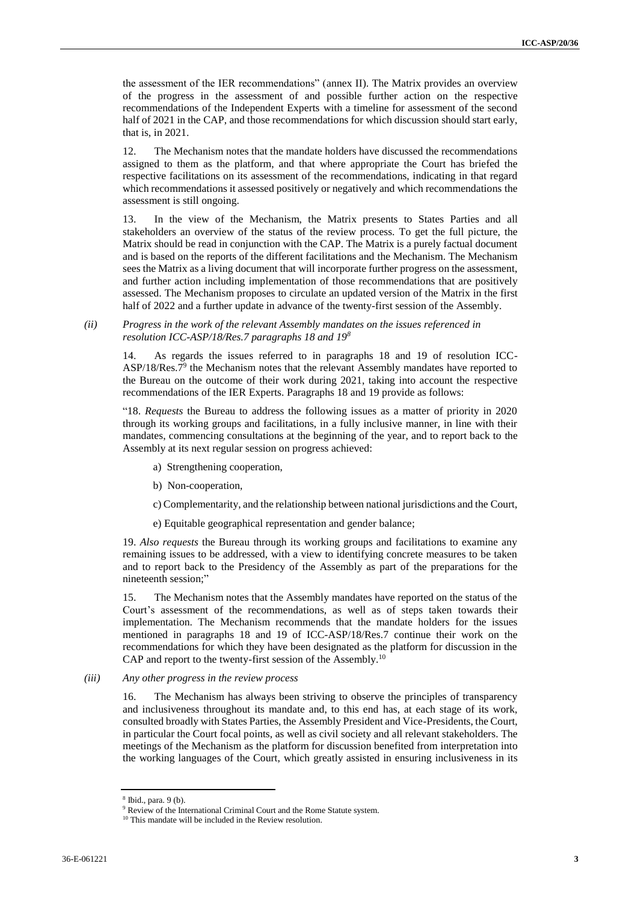the assessment of the IER recommendations" (annex II). The Matrix provides an overview of the progress in the assessment of and possible further action on the respective recommendations of the Independent Experts with a timeline for assessment of the second half of 2021 in the CAP, and those recommendations for which discussion should start early, that is, in 2021.

12. The Mechanism notes that the mandate holders have discussed the recommendations assigned to them as the platform, and that where appropriate the Court has briefed the respective facilitations on its assessment of the recommendations, indicating in that regard which recommendations it assessed positively or negatively and which recommendations the assessment is still ongoing.

13. In the view of the Mechanism, the Matrix presents to States Parties and all stakeholders an overview of the status of the review process. To get the full picture, the Matrix should be read in conjunction with the CAP. The Matrix is a purely factual document and is based on the reports of the different facilitations and the Mechanism. The Mechanism sees the Matrix as a living document that will incorporate further progress on the assessment, and further action including implementation of those recommendations that are positively assessed. The Mechanism proposes to circulate an updated version of the Matrix in the first half of 2022 and a further update in advance of the twenty-first session of the Assembly.

*(ii) Progress in the work of the relevant Assembly mandates on the issues referenced in resolution ICC-ASP/18/Res.7 paragraphs 18 and 19<sup>8</sup>*

14. As regards the issues referred to in paragraphs 18 and 19 of resolution ICC- $ASP/18/Res.7<sup>9</sup>$  the Mechanism notes that the relevant Assembly mandates have reported to the Bureau on the outcome of their work during 2021, taking into account the respective recommendations of the IER Experts. Paragraphs 18 and 19 provide as follows:

"18. *Requests* the Bureau to address the following issues as a matter of priority in 2020 through its working groups and facilitations, in a fully inclusive manner, in line with their mandates, commencing consultations at the beginning of the year, and to report back to the Assembly at its next regular session on progress achieved:

- a) Strengthening cooperation,
- b) Non-cooperation,

c) Complementarity, and the relationship between national jurisdictions and the Court,

e) Equitable geographical representation and gender balance;

19. *Also requests* the Bureau through its working groups and facilitations to examine any remaining issues to be addressed, with a view to identifying concrete measures to be taken and to report back to the Presidency of the Assembly as part of the preparations for the nineteenth session;"

15. The Mechanism notes that the Assembly mandates have reported on the status of the Court's assessment of the recommendations, as well as of steps taken towards their implementation. The Mechanism recommends that the mandate holders for the issues mentioned in paragraphs 18 and 19 of ICC-ASP/18/Res.7 continue their work on the recommendations for which they have been designated as the platform for discussion in the CAP and report to the twenty-first session of the Assembly.<sup>10</sup>

*(iii) Any other progress in the review process*

16. The Mechanism has always been striving to observe the principles of transparency and inclusiveness throughout its mandate and, to this end has, at each stage of its work, consulted broadly with States Parties, the Assembly President and Vice-Presidents, the Court, in particular the Court focal points, as well as civil society and all relevant stakeholders. The meetings of the Mechanism as the platform for discussion benefited from interpretation into the working languages of the Court, which greatly assisted in ensuring inclusiveness in its

<sup>8</sup> Ibid., para. 9 (b).

<sup>&</sup>lt;sup>9</sup> Review of the International Criminal Court and the Rome Statute system.

<sup>&</sup>lt;sup>10</sup> This mandate will be included in the Review resolution.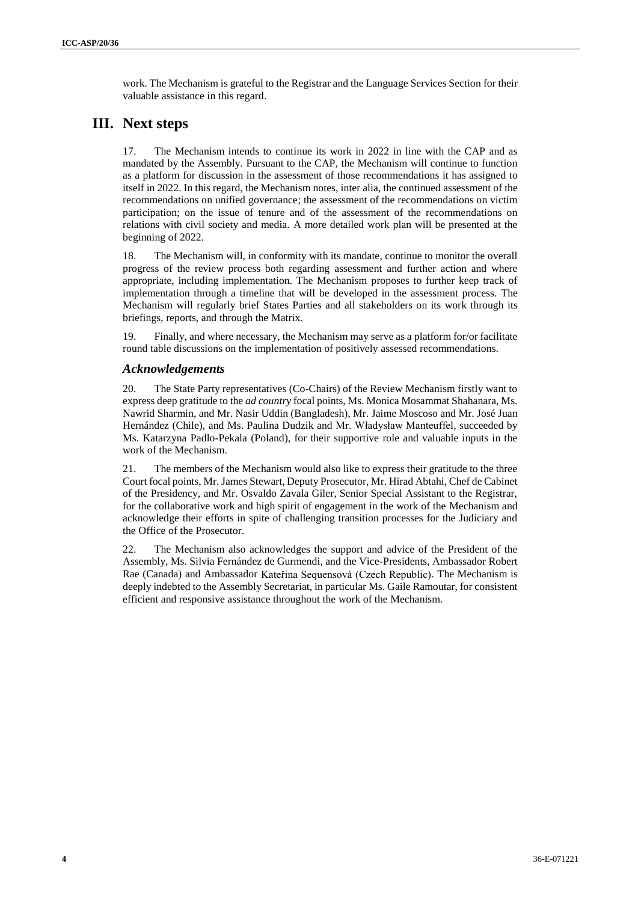work. The Mechanism is grateful to the Registrar and the Language Services Section for their valuable assistance in this regard.

# **III. Next steps**

17. The Mechanism intends to continue its work in 2022 in line with the CAP and as mandated by the Assembly. Pursuant to the CAP, the Mechanism will continue to function as a platform for discussion in the assessment of those recommendations it has assigned to itself in 2022. In this regard, the Mechanism notes, inter alia, the continued assessment of the recommendations on unified governance; the assessment of the recommendations on victim participation; on the issue of tenure and of the assessment of the recommendations on relations with civil society and media. A more detailed work plan will be presented at the beginning of 2022.

18. The Mechanism will, in conformity with its mandate, continue to monitor the overall progress of the review process both regarding assessment and further action and where appropriate, including implementation. The Mechanism proposes to further keep track of implementation through a timeline that will be developed in the assessment process. The Mechanism will regularly brief States Parties and all stakeholders on its work through its briefings, reports, and through the Matrix.

19. Finally, and where necessary, the Mechanism may serve as a platform for/or facilitate round table discussions on the implementation of positively assessed recommendations.

## *Acknowledgements*

20. The State Party representatives (Co-Chairs) of the Review Mechanism firstly want to express deep gratitude to the *ad country* focal points, Ms. Monica Mosammat Shahanara, Ms. Nawrid Sharmin, and Mr. Nasir Uddin (Bangladesh), Mr. Jaime Moscoso and Mr. José Juan Hernández (Chile), and Ms. Paulina Dudzik and Mr. Władysław Manteuffel, succeeded by Ms. Katarzyna Padlo-Pekala (Poland), for their supportive role and valuable inputs in the work of the Mechanism.

21. The members of the Mechanism would also like to express their gratitude to the three Court focal points, Mr. James Stewart, Deputy Prosecutor, Mr. Hirad Abtahi, Chef de Cabinet of the Presidency, and Mr. Osvaldo Zavala Giler, Senior Special Assistant to the Registrar, for the collaborative work and high spirit of engagement in the work of the Mechanism and acknowledge their efforts in spite of challenging transition processes for the Judiciary and the Office of the Prosecutor.

22. The Mechanism also acknowledges the support and advice of the President of the Assembly, Ms. Silvia Fernández de Gurmendi, and the Vice-Presidents, Ambassador Robert Rae (Canada) and Ambassador Kateřina Sequensová (Czech Republic). The Mechanism is deeply indebted to the Assembly Secretariat, in particular Ms. Gaile Ramoutar, for consistent efficient and responsive assistance throughout the work of the Mechanism.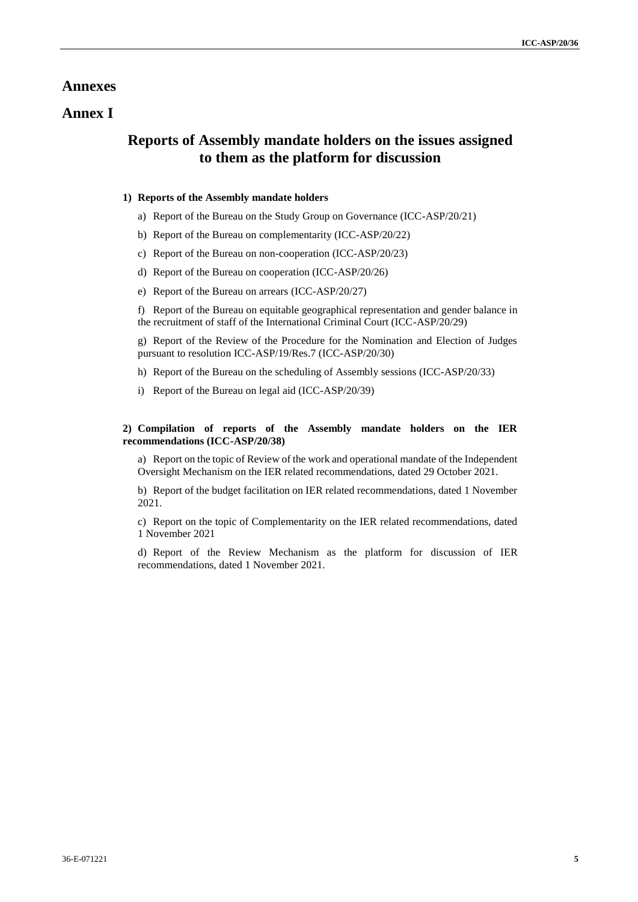## **Annexes**

## **Annex I**

## **Reports of Assembly mandate holders on the issues assigned to them as the platform for discussion**

### **1) Reports of the Assembly mandate holders**

- a) Report of the Bureau on the Study Group on Governance (ICC-ASP/20/21)
- b) Report of the Bureau on complementarity (ICC-ASP/20/22)
- c) Report of the Bureau on non-cooperation (ICC-ASP/20/23)
- d) Report of the Bureau on cooperation (ICC-ASP/20/26)
- e) Report of the Bureau on arrears (ICC-ASP/20/27)

f) Report of the Bureau on equitable geographical representation and gender balance in the recruitment of staff of the International Criminal Court (ICC-ASP/20/29)

g) Report of the Review of the Procedure for the Nomination and Election of Judges pursuant to resolution ICC-ASP/19/Res.7 (ICC-ASP/20/30)

- h) Report of the Bureau on the scheduling of Assembly sessions (ICC-ASP/20/33)
- i) Report of the Bureau on legal aid (ICC-ASP/20/39)

#### **2) Compilation of reports of the Assembly mandate holders on the IER recommendations (ICC-ASP/20/38)**

a) Report on the topic of Review of the work and operational mandate of the Independent Oversight Mechanism on the IER related recommendations, dated 29 October 2021.

b) Report of the budget facilitation on IER related recommendations, dated 1 November 2021.

c) Report on the topic of Complementarity on the IER related recommendations, dated 1 November 2021

d) Report of the Review Mechanism as the platform for discussion of IER recommendations, dated 1 November 2021.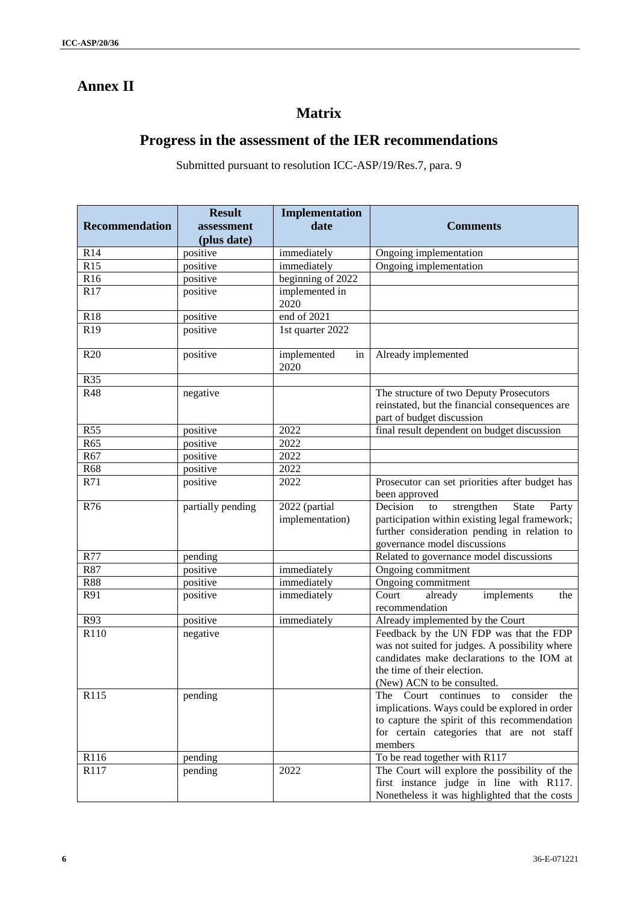# **Annex II**

# **Matrix**

# **Progress in the assessment of the IER recommendations**

Submitted pursuant to resolution ICC-ASP/19/Res.7, para. 9

|                       | <b>Result</b>     | <b>Implementation</b>            |                                                                                                                                                                                                      |
|-----------------------|-------------------|----------------------------------|------------------------------------------------------------------------------------------------------------------------------------------------------------------------------------------------------|
| <b>Recommendation</b> | assessment        | date                             | <b>Comments</b>                                                                                                                                                                                      |
|                       | (plus date)       |                                  |                                                                                                                                                                                                      |
| R14                   | positive          | immediately                      | Ongoing implementation                                                                                                                                                                               |
| R15                   | positive          | immediately                      | Ongoing implementation                                                                                                                                                                               |
| R <sub>16</sub>       | positive          | beginning of 2022                |                                                                                                                                                                                                      |
| R17                   | positive          | implemented in<br>2020           |                                                                                                                                                                                                      |
| <b>R18</b>            | positive          | $\overline{end}$ of 2021         |                                                                                                                                                                                                      |
| R <sub>19</sub>       | positive          | 1st quarter 2022                 |                                                                                                                                                                                                      |
| R <sub>20</sub>       | positive          | implemented<br>in<br>2020        | Already implemented                                                                                                                                                                                  |
| R35                   |                   |                                  |                                                                                                                                                                                                      |
| <b>R48</b>            | negative          |                                  | The structure of two Deputy Prosecutors<br>reinstated, but the financial consequences are<br>part of budget discussion                                                                               |
| R55                   | positive          | 2022                             | final result dependent on budget discussion                                                                                                                                                          |
| R65                   | positive          | 2022                             |                                                                                                                                                                                                      |
| R67                   | positive          | 2022                             |                                                                                                                                                                                                      |
| R68                   | positive          | 2022                             |                                                                                                                                                                                                      |
| R71                   | positive          | 2022                             | Prosecutor can set priorities after budget has<br>been approved                                                                                                                                      |
| R76                   | partially pending | 2022 (partial<br>implementation) | Decision<br>strengthen<br><b>State</b><br>Party<br>to<br>participation within existing legal framework;<br>further consideration pending in relation to<br>governance model discussions              |
| R77                   | pending           |                                  | Related to governance model discussions                                                                                                                                                              |
| R87                   | positive          | immediately                      | Ongoing commitment                                                                                                                                                                                   |
| <b>R88</b>            | positive          | immediately                      | Ongoing commitment                                                                                                                                                                                   |
| R91                   | positive          | immediately                      | Court<br>already<br>implements<br>the<br>recommendation                                                                                                                                              |
| R93                   | positive          | immediately                      | Already implemented by the Court                                                                                                                                                                     |
| R110                  | negative          |                                  | Feedback by the UN FDP was that the FDP<br>was not suited for judges. A possibility where<br>candidates make declarations to the IOM at<br>the time of their election.<br>(New) ACN to be consulted. |
| R115                  | pending           |                                  | The Court continues to<br>consider the<br>implications. Ways could be explored in order<br>to capture the spirit of this recommendation<br>for certain categories that are not staff<br>members      |
| R116                  | pending           |                                  | To be read together with R117                                                                                                                                                                        |
| R117                  | pending           | 2022                             | The Court will explore the possibility of the<br>first instance judge in line with R117.<br>Nonetheless it was highlighted that the costs                                                            |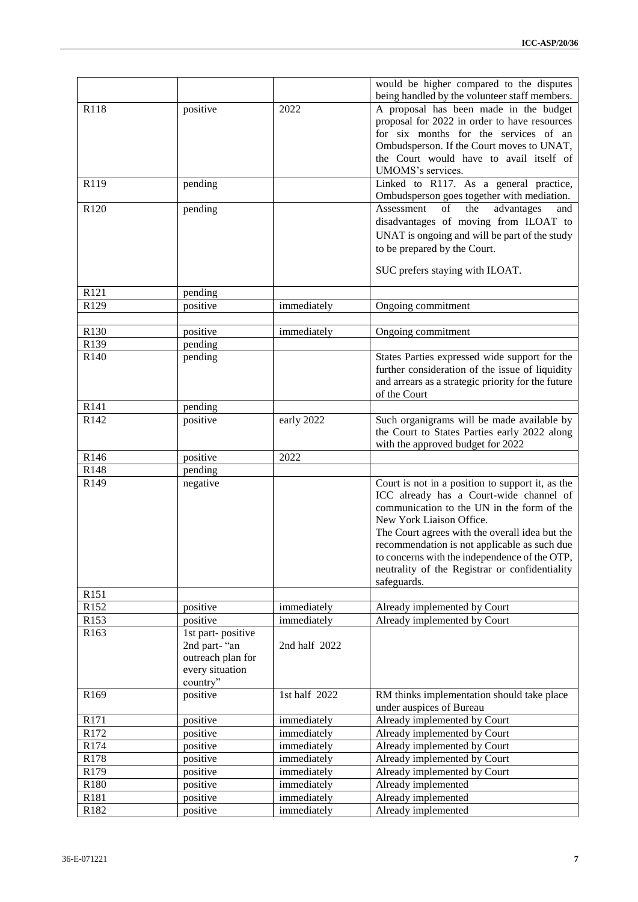|                    |                   |               | would be higher compared to the disputes                                                    |
|--------------------|-------------------|---------------|---------------------------------------------------------------------------------------------|
|                    |                   |               | being handled by the volunteer staff members.                                               |
| R118               | positive          | 2022          | A proposal has been made in the budget                                                      |
|                    |                   |               | proposal for 2022 in order to have resources                                                |
|                    |                   |               | for six months for the services of an                                                       |
|                    |                   |               | Ombudsperson. If the Court moves to UNAT,                                                   |
|                    |                   |               | the Court would have to avail itself of                                                     |
|                    |                   |               | UMOMS's services.                                                                           |
| R119               | pending           |               | Linked to R117. As a general practice,                                                      |
|                    |                   |               | Ombudsperson goes together with mediation.                                                  |
| R <sub>120</sub>   | pending           |               | Assessment<br>of<br>the<br>advantages<br>and                                                |
|                    |                   |               | disadvantages of moving from ILOAT to                                                       |
|                    |                   |               | UNAT is ongoing and will be part of the study                                               |
|                    |                   |               | to be prepared by the Court.                                                                |
|                    |                   |               |                                                                                             |
|                    |                   |               | SUC prefers staying with ILOAT.                                                             |
| R121               | pending           |               |                                                                                             |
| R129               | positive          | immediately   | Ongoing commitment                                                                          |
|                    |                   |               |                                                                                             |
| R130               | positive          | immediately   | Ongoing commitment                                                                          |
| R139               | pending           |               |                                                                                             |
| R <sub>140</sub>   | pending           |               | States Parties expressed wide support for the                                               |
|                    |                   |               | further consideration of the issue of liquidity                                             |
|                    |                   |               | and arrears as a strategic priority for the future                                          |
|                    |                   |               | of the Court                                                                                |
| R141               | pending           |               |                                                                                             |
| R142               | positive          | early 2022    | Such organigrams will be made available by                                                  |
|                    |                   |               | the Court to States Parties early 2022 along                                                |
|                    |                   |               | with the approved budget for 2022                                                           |
| R <sub>146</sub>   | positive          | 2022          |                                                                                             |
| R148<br>R149       | pending           |               |                                                                                             |
|                    | negative          |               | Court is not in a position to support it, as the<br>ICC already has a Court-wide channel of |
|                    |                   |               | communication to the UN in the form of the                                                  |
|                    |                   |               | New York Liaison Office.                                                                    |
|                    |                   |               | The Court agrees with the overall idea but the                                              |
|                    |                   |               | recommendation is not applicable as such due                                                |
|                    |                   |               | to concerns with the independence of the OTP,                                               |
|                    |                   |               | neutrality of the Registrar or confidentiality                                              |
|                    |                   |               | safeguards.                                                                                 |
| R151               |                   |               |                                                                                             |
| R152               | positive          | immediately   | Already implemented by Court                                                                |
| R153               | positive          | immediately   | Already implemented by Court                                                                |
| R163               | 1st part-positive |               |                                                                                             |
|                    | 2nd part-"an      | 2nd half 2022 |                                                                                             |
|                    | outreach plan for |               |                                                                                             |
|                    | every situation   |               |                                                                                             |
|                    | country"          |               |                                                                                             |
| R169               | positive          | 1st half 2022 | RM thinks implementation should take place                                                  |
|                    |                   |               | under auspices of Bureau                                                                    |
| R171               | positive          | immediately   | Already implemented by Court                                                                |
| R172               | positive          | immediately   | Already implemented by Court                                                                |
| R174               | positive          | immediately   | Already implemented by Court                                                                |
| R178               | positive          | immediately   | Already implemented by Court                                                                |
| R179               | positive          | immediately   | Already implemented by Court                                                                |
| R180               | positive          | immediately   | Already implemented                                                                         |
| R181               | positive          | immediately   | Already implemented                                                                         |
| $\overline{R}$ 182 | positive          | immediately   | Already implemented                                                                         |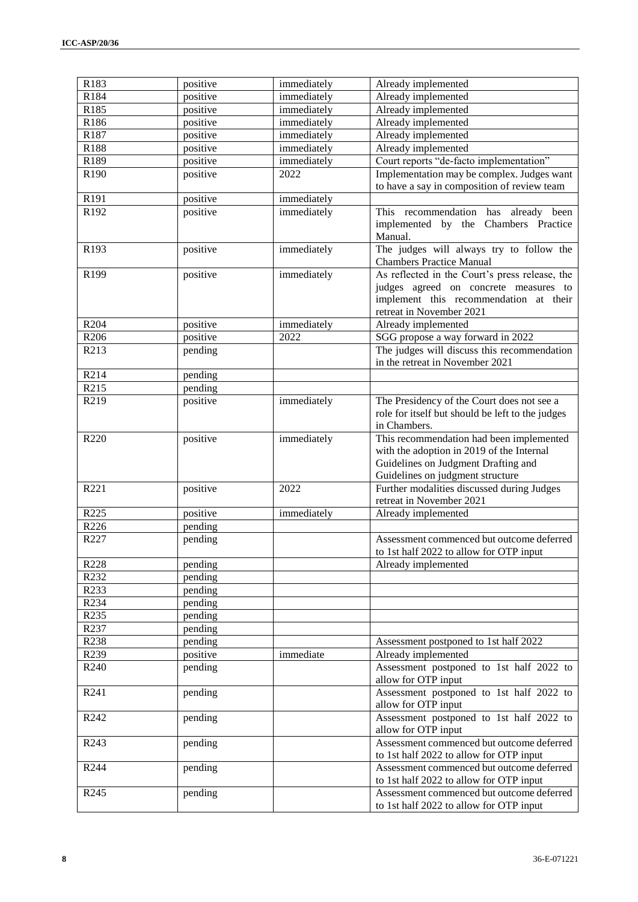| R183             | positive | immediately | Already implemented                                                                  |
|------------------|----------|-------------|--------------------------------------------------------------------------------------|
| R184             | positive | immediately | Already implemented                                                                  |
| R185             | positive | immediately | Already implemented                                                                  |
| R186             | positive | immediately | Already implemented                                                                  |
| R187             | positive | immediately | Already implemented                                                                  |
| R188             | positive | immediately | Already implemented                                                                  |
| R189             | positive | immediately | Court reports "de-facto implementation"                                              |
| R190             | positive | 2022        | Implementation may be complex. Judges want                                           |
|                  |          |             | to have a say in composition of review team                                          |
| R191             | positive | immediately |                                                                                      |
| R192             | positive | immediately | This recommendation has already been<br>implemented by the Chambers Practice         |
|                  |          |             | Manual.                                                                              |
| R193             | positive | immediately | The judges will always try to follow the<br><b>Chambers Practice Manual</b>          |
| R199             | positive | immediately | As reflected in the Court's press release, the                                       |
|                  |          |             | judges agreed on concrete measures to                                                |
|                  |          |             | implement this recommendation at their                                               |
|                  |          |             | retreat in November 2021                                                             |
| R <sub>204</sub> | positive | immediately | Already implemented                                                                  |
| R <sub>206</sub> | positive | 2022        | SGG propose a way forward in 2022                                                    |
| R213             | pending  |             | The judges will discuss this recommendation                                          |
|                  |          |             | in the retreat in November 2021                                                      |
| R214             | pending  |             |                                                                                      |
| R <sub>215</sub> | pending  |             |                                                                                      |
| R219             | positive | immediately | The Presidency of the Court does not see a                                           |
|                  |          |             | role for itself but should be left to the judges                                     |
|                  |          |             | in Chambers.                                                                         |
| R220             | positive | immediately | This recommendation had been implemented                                             |
|                  |          |             | with the adoption in 2019 of the Internal                                            |
|                  |          |             | Guidelines on Judgment Drafting and                                                  |
|                  |          |             | Guidelines on judgment structure                                                     |
| R221             | positive | 2022        | Further modalities discussed during Judges                                           |
|                  |          |             | retreat in November 2021                                                             |
| R225             | positive | immediately | Already implemented                                                                  |
| R226             | pending  |             |                                                                                      |
| R227             | pending  |             | Assessment commenced but outcome deferred                                            |
|                  |          |             | to 1st half 2022 to allow for OTP input                                              |
| R228             | pending  |             | Already implemented                                                                  |
| R232             | pending  |             |                                                                                      |
| R233             | pending  |             |                                                                                      |
| R234             | pending  |             |                                                                                      |
| R <sub>235</sub> | pending  |             |                                                                                      |
| R <sub>237</sub> | pending  |             |                                                                                      |
| R238             | pending  |             | Assessment postponed to 1st half 2022                                                |
| R239             | positive | immediate   | Already implemented                                                                  |
| R240             | pending  |             | Assessment postponed to 1st half 2022 to                                             |
|                  |          |             | allow for OTP input                                                                  |
| R241             | pending  |             | Assessment postponed to 1st half 2022 to<br>allow for OTP input                      |
| R242             | pending  |             | Assessment postponed to 1st half 2022 to                                             |
|                  |          |             | allow for OTP input                                                                  |
| R243             | pending  |             | Assessment commenced but outcome deferred<br>to 1st half 2022 to allow for OTP input |
| R244             | pending  |             | Assessment commenced but outcome deferred<br>to 1st half 2022 to allow for OTP input |
| R <sub>245</sub> | pending  |             | Assessment commenced but outcome deferred                                            |
|                  |          |             | to 1st half 2022 to allow for OTP input                                              |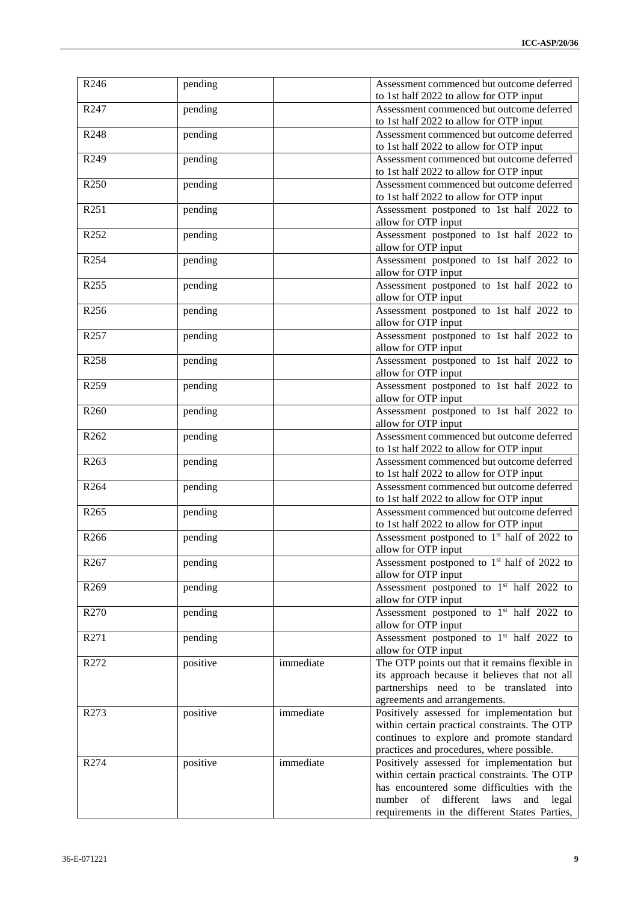| R246             | pending  |           | Assessment commenced but outcome deferred<br>to 1st half 2022 to allow for OTP input                                                                                                                                             |
|------------------|----------|-----------|----------------------------------------------------------------------------------------------------------------------------------------------------------------------------------------------------------------------------------|
| R <sub>247</sub> | pending  |           | Assessment commenced but outcome deferred<br>to 1st half 2022 to allow for OTP input                                                                                                                                             |
| R248             | pending  |           | Assessment commenced but outcome deferred<br>to 1st half 2022 to allow for OTP input                                                                                                                                             |
| R249             | pending  |           | Assessment commenced but outcome deferred                                                                                                                                                                                        |
| R <sub>250</sub> | pending  |           | to 1st half 2022 to allow for OTP input<br>Assessment commenced but outcome deferred                                                                                                                                             |
|                  |          |           | to 1st half 2022 to allow for OTP input                                                                                                                                                                                          |
| R251             | pending  |           | Assessment postponed to 1st half 2022 to<br>allow for OTP input                                                                                                                                                                  |
| R252             | pending  |           | Assessment postponed to 1st half 2022 to<br>allow for OTP input                                                                                                                                                                  |
| R <sub>254</sub> | pending  |           | Assessment postponed to 1st half 2022 to<br>allow for OTP input                                                                                                                                                                  |
| R <sub>255</sub> | pending  |           | Assessment postponed to 1st half 2022 to<br>allow for OTP input                                                                                                                                                                  |
| R256             | pending  |           | Assessment postponed to 1st half 2022 to<br>allow for OTP input                                                                                                                                                                  |
| R <sub>257</sub> | pending  |           | Assessment postponed to 1st half 2022 to<br>allow for OTP input                                                                                                                                                                  |
| R258             | pending  |           | Assessment postponed to 1st half 2022 to<br>allow for OTP input                                                                                                                                                                  |
| R <sub>259</sub> | pending  |           | Assessment postponed to 1st half 2022 to<br>allow for OTP input                                                                                                                                                                  |
| R <sub>260</sub> | pending  |           | Assessment postponed to 1st half 2022 to<br>allow for OTP input                                                                                                                                                                  |
| R <sub>262</sub> | pending  |           | Assessment commenced but outcome deferred<br>to 1st half 2022 to allow for OTP input                                                                                                                                             |
| R <sub>263</sub> | pending  |           | Assessment commenced but outcome deferred<br>to 1st half 2022 to allow for OTP input                                                                                                                                             |
| R <sub>264</sub> | pending  |           | Assessment commenced but outcome deferred<br>to 1st half 2022 to allow for OTP input                                                                                                                                             |
| R <sub>265</sub> | pending  |           | Assessment commenced but outcome deferred<br>to 1st half 2022 to allow for OTP input                                                                                                                                             |
| R266             | pending  |           | Assessment postponed to 1 <sup>st</sup> half of 2022 to<br>allow for OTP input                                                                                                                                                   |
| R <sub>267</sub> | pending  |           | Assessment postponed to 1 <sup>st</sup> half of 2022 to<br>allow for OTP input                                                                                                                                                   |
| R <sub>269</sub> | pending  |           | Assessment postponed to 1 <sup>st</sup> half 2022 to<br>allow for OTP input                                                                                                                                                      |
| R <sub>270</sub> | pending  |           | Assessment postponed to 1 <sup>st</sup> half 2022 to<br>allow for OTP input                                                                                                                                                      |
| R271             | pending  |           | Assessment postponed to 1 <sup>st</sup> half 2022 to<br>allow for OTP input                                                                                                                                                      |
| R272             | positive | immediate | The OTP points out that it remains flexible in<br>its approach because it believes that not all<br>partnerships need to be translated into<br>agreements and arrangements.                                                       |
| R <sub>273</sub> | positive | immediate | Positively assessed for implementation but<br>within certain practical constraints. The OTP<br>continues to explore and promote standard<br>practices and procedures, where possible.                                            |
| R274             | positive | immediate | Positively assessed for implementation but<br>within certain practical constraints. The OTP<br>has encountered some difficulties with the<br>number of different laws and legal<br>requirements in the different States Parties, |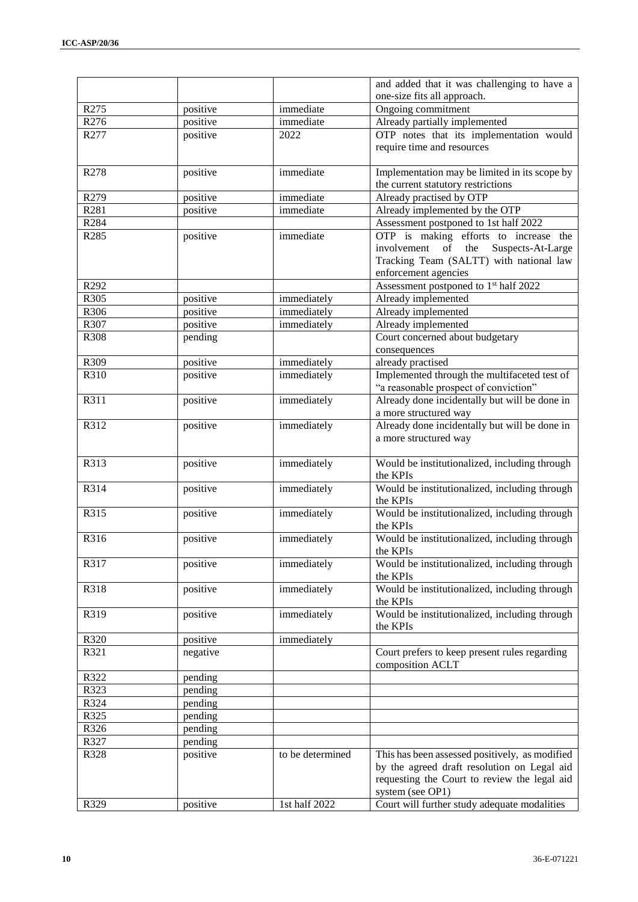|                  |                     |                  | and added that it was challenging to have a       |
|------------------|---------------------|------------------|---------------------------------------------------|
|                  |                     |                  | one-size fits all approach.                       |
| R275             | positive            | immediate        | Ongoing commitment                                |
| R <sub>276</sub> | positive            | immediate        | Already partially implemented                     |
| R277             | positive            | 2022             | OTP notes that its implementation would           |
|                  |                     |                  | require time and resources                        |
|                  |                     |                  |                                                   |
| R278             | positive            | immediate        | Implementation may be limited in its scope by     |
|                  |                     |                  | the current statutory restrictions                |
| R279             | positive            | immediate        | Already practised by OTP                          |
| R281             | positive            | immediate        | Already implemented by the OTP                    |
| R284             |                     |                  | Assessment postponed to 1st half 2022             |
| R <sub>285</sub> | positive            | immediate        | OTP is making efforts to increase the             |
|                  |                     |                  | the<br>involvement<br>of<br>Suspects-At-Large     |
|                  |                     |                  | Tracking Team (SALTT) with national law           |
|                  |                     |                  | enforcement agencies                              |
| R292             |                     |                  | Assessment postponed to 1 <sup>st</sup> half 2022 |
| R305             | positive            | immediately      | Already implemented                               |
| R306             | positive            | immediately      | Already implemented                               |
| R307             | positive            | immediately      | Already implemented                               |
| R308             | pending             |                  | Court concerned about budgetary                   |
|                  |                     |                  | consequences                                      |
| R309             | positive            | immediately      | already practised                                 |
| R310             | positive            | immediately      | Implemented through the multifaceted test of      |
|                  |                     |                  | "a reasonable prospect of conviction"             |
| R311             | positive            | immediately      | Already done incidentally but will be done in     |
|                  |                     |                  | a more structured way                             |
| R312             | positive            | immediately      | Already done incidentally but will be done in     |
|                  |                     |                  | a more structured way                             |
| R313             | positive            | immediately      | Would be institutionalized, including through     |
|                  |                     |                  | the KPIs                                          |
| R314             | positive            | immediately      | Would be institutionalized, including through     |
|                  |                     |                  | the KPIs                                          |
| R315             | positive            | immediately      | Would be institutionalized, including through     |
|                  |                     |                  | the KPIs                                          |
| R316             | positive            | immediately      | Would be institutionalized, including through     |
|                  |                     |                  | the KPIs                                          |
| R317             | positive            | immediately      | Would be institutionalized, including through     |
|                  |                     |                  | the KPIs                                          |
| R318             | positive            | immediately      | Would be institutionalized, including through     |
|                  |                     |                  | the KPIs                                          |
| R319             | positive            | immediately      | Would be institutionalized, including through     |
|                  |                     |                  | the KPIs                                          |
| R320             | positive            | immediately      |                                                   |
| R321             | negative            |                  | Court prefers to keep present rules regarding     |
|                  |                     |                  | composition ACLT                                  |
| R322             | pending             |                  |                                                   |
| R323             | pending             |                  |                                                   |
| R324<br>R325     | pending             |                  |                                                   |
| R326             | pending             |                  |                                                   |
| R327             | pending             |                  |                                                   |
| R328             | pending<br>positive | to be determined | This has been assessed positively, as modified    |
|                  |                     |                  | by the agreed draft resolution on Legal aid       |
|                  |                     |                  | requesting the Court to review the legal aid      |
|                  |                     |                  | system (see OP1)                                  |
| R329             | positive            | 1st half 2022    | Court will further study adequate modalities      |
|                  |                     |                  |                                                   |